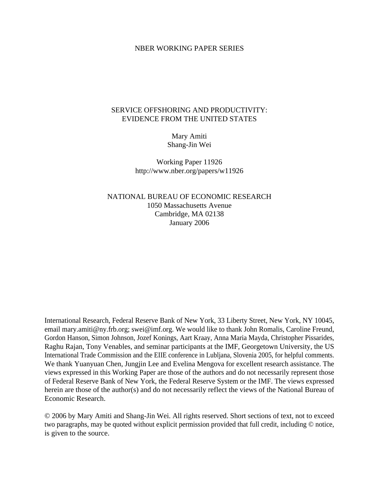### NBER WORKING PAPER SERIES

## SERVICE OFFSHORING AND PRODUCTIVITY: EVIDENCE FROM THE UNITED STATES

Mary Amiti Shang-Jin Wei

Working Paper 11926 http://www.nber.org/papers/w11926

NATIONAL BUREAU OF ECONOMIC RESEARCH 1050 Massachusetts Avenue Cambridge, MA 02138 January 2006

International Research, Federal Reserve Bank of New York, 33 Liberty Street, New York, NY 10045, email mary.amiti@ny.frb.org; swei@imf.org. We would like to thank John Romalis, Caroline Freund, Gordon Hanson, Simon Johnson, Jozef Konings, Aart Kraay, Anna Maria Mayda, Christopher Pissarides, Raghu Rajan, Tony Venables, and seminar participants at the IMF, Georgetown University, the US International Trade Commission and the EIIE conference in Lubljana, Slovenia 2005, for helpful comments. We thank Yuanyuan Chen, Jungjin Lee and Evelina Mengova for excellent research assistance. The views expressed in this Working Paper are those of the authors and do not necessarily represent those of Federal Reserve Bank of New York, the Federal Reserve System or the IMF. The views expressed herein are those of the author(s) and do not necessarily reflect the views of the National Bureau of Economic Research.

© 2006 by Mary Amiti and Shang-Jin Wei. All rights reserved. Short sections of text, not to exceed two paragraphs, may be quoted without explicit permission provided that full credit, including © notice, is given to the source.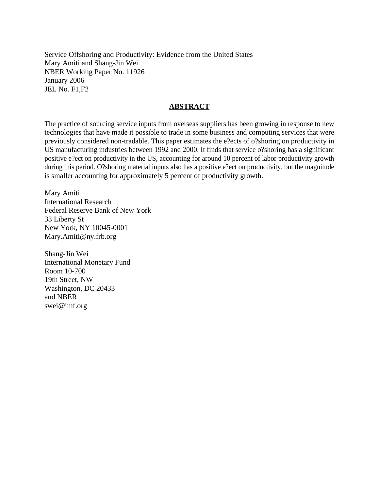Service Offshoring and Productivity: Evidence from the United States Mary Amiti and Shang-Jin Wei NBER Working Paper No. 11926 January 2006 JEL No. F1,F2

### **ABSTRACT**

The practice of sourcing service inputs from overseas suppliers has been growing in response to new technologies that have made it possible to trade in some business and computing services that were previously considered non-tradable. This paper estimates the e?ects of o?shoring on productivity in US manufacturing industries between 1992 and 2000. It finds that service o?shoring has a significant positive e?ect on productivity in the US, accounting for around 10 percent of labor productivity growth during this period. O?shoring material inputs also has a positive e?ect on productivity, but the magnitude is smaller accounting for approximately 5 percent of productivity growth.

Mary Amiti International Research Federal Reserve Bank of New York 33 Liberty St New York, NY 10045-0001 Mary.Amiti@ny.frb.org

Shang-Jin Wei International Monetary Fund Room 10-700 19th Street, NW Washington, DC 20433 and NBER swei@imf.org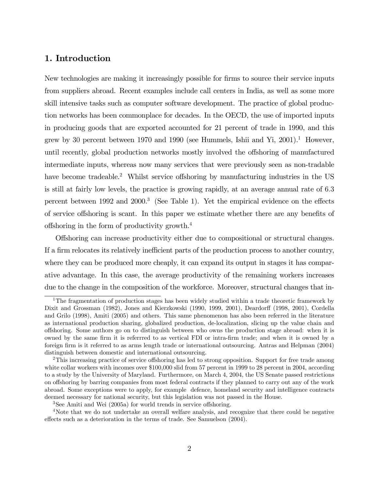## 1. Introduction

New technologies are making it increasingly possible for firms to source their service inputs from suppliers abroad. Recent examples include call centers in India, as well as some more skill intensive tasks such as computer software development. The practice of global production networks has been commonplace for decades. In the OECD, the use of imported inputs in producing goods that are exported accounted for 21 percent of trade in 1990, and this grew by 30 percent between 1970 and 1990 (see Hummels, Ishii and Yi,  $2001$ ).<sup>1</sup> However, until recently, global production networks mostly involved the offshoring of manufactured intermediate inputs, whereas now many services that were previously seen as non-tradable have become tradeable.<sup>2</sup> Whilst service offshoring by manufacturing industries in the US is still at fairly low levels, the practice is growing rapidly, at an average annual rate of 6.3 percent between 1992 and 2000.3 (See Table 1). Yet the empirical evidence on the effects of service offshoring is scant. In this paper we estimate whether there are any benefits of offshoring in the form of productivity growth.4

Offshoring can increase productivity either due to compositional or structural changes. If a firm relocates its relatively inefficient parts of the production process to another country, where they can be produced more cheaply, it can expand its output in stages it has comparative advantage. In this case, the average productivity of the remaining workers increases due to the change in the composition of the workforce. Moreover, structural changes that in-

<sup>&</sup>lt;sup>1</sup>The fragmentation of production stages has been widely studied within a trade theoretic framework by Dixit and Grossman (1982), Jones and Kierzkowski (1990, 1999, 2001), Deardorff (1998, 2001), Cordella and Grilo (1998), Amiti (2005) and others. This same phenomenon has also been referred in the literature as international production sharing, globalized production, de-localization, slicing up the value chain and offshoring. Some authors go on to distinguish between who owns the production stage abroad: when it is owned by the same firm it is referrred to as vertical FDI or intra-firm trade; and when it is owned by a foreign firm is it referred to as arms length trade or international outsourcing. Antras and Helpman (2004) distinguish between domestic and international outsourcing.

<sup>&</sup>lt;sup>2</sup>This increasing practice of service offshoring has led to strong opposition. Support for free trade among white collar workers with incomes over \$100,000 slid from 57 percent in 1999 to 28 percent in 2004, according to a study by the University of Maryland. Furthermore, on March 4, 2004, the US Senate passed restrictions on offshoring by barring companies from most federal contracts if they planned to carry out any of the work abroad. Some exceptions were to apply, for example defence, homeland security and intelligence contracts deemed necessary for national security, but this legislation was not passed in the House.

<sup>3</sup>See Amiti and Wei (2005a) for world trends in service offshoring.

<sup>&</sup>lt;sup>4</sup>Note that we do not undertake an overall welfare analysis, and recognize that there could be negative effects such as a deterioration in the terms of trade. See Samuelson (2004).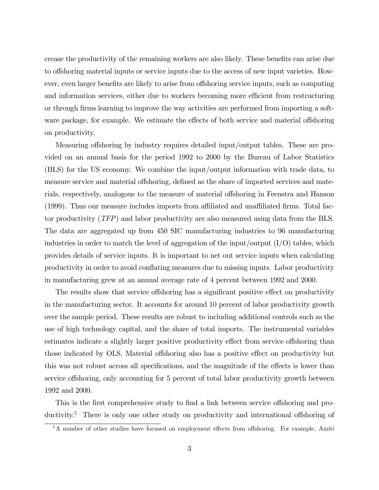crease the productivity of the remaining workers are also likely. These benefits can arise due to offshoring material inputs or service inputs due to the access of new input varieties. However, even larger benefits are likely to arise from offshoring service inputs, such as computing and information services, either due to workers becoming more efficient from restructuring or through firms learning to improve the way activities are performed from importing a software package, for example. We estimate the effects of both service and material offshoring on productivity.

Measuring offshoring by industry requires detailed input/output tables. These are provided on an annual basis for the period 1992 to 2000 by the Bureau of Labor Statistics (BLS) for the US economy. We combine the input/output information with trade data, to measure service and material offshoring, defined as the share of imported services and materials, respectively, analogous to the measure of material offshoring in Feenstra and Hanson (1999). Thus our measure includes imports from affiliated and unaffiliated firms. Total factor productivity (TFP) and labor productivity are also measured using data from the BLS. The data are aggregated up from 450 SIC manufacturing industries to 96 manufacturing industries in order to match the level of aggregation of the input/output  $(I/O)$  tables, which provides details of service inputs. It is important to net out service inputs when calculating productivity in order to avoid conflating measures due to missing inputs. Labor productivity in manufacturing grew at an annual average rate of 4 percent between 1992 and 2000.

The results show that service offshoring has a significant positive effect on productivity in the manufacturing sector. It accounts for around 10 percent of labor productivity growth over the sample period. These results are robust to including additional controls such as the use of high technology capital, and the share of total imports. The instrumental variables estimates indicate a slightly larger positive productivity effect from service offshoring than those indicated by OLS. Material offshoring also has a positive effect on productivity but this was not robust across all specifications, and the magnitude of the effects is lower than service offshoring, only accounting for 5 percent of total labor productivity growth between 1992 and 2000.

This is the first comprehensive study to find a link between service offshoring and productivity.<sup>5</sup> There is only one other study on productivity and international offshoring of

<sup>&</sup>lt;sup>5</sup>A number of other studies have focused on employment effects from offshoring. For example, Amiti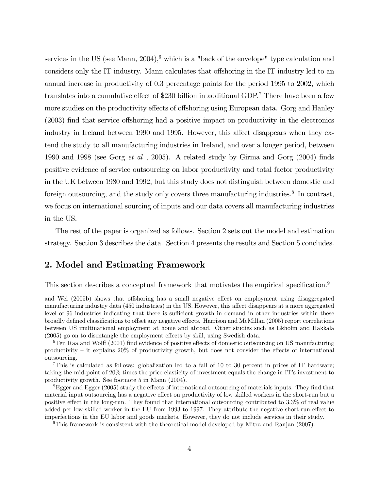services in the US (see Mann,  $2004$ ),  $6$  which is a "back of the envelope" type calculation and considers only the IT industry. Mann calculates that offshoring in the IT industry led to an annual increase in productivity of 0.3 percentage points for the period 1995 to 2002, which translates into a cumulative effect of \$230 billion in additional GDP.7 There have been a few more studies on the productivity effects of offshoring using European data. Gorg and Hanley (2003) find that service offshoring had a positive impact on productivity in the electronics industry in Ireland between 1990 and 1995. However, this affect disappears when they extend the study to all manufacturing industries in Ireland, and over a longer period, between 1990 and 1998 (see Gorg et al , 2005). A related study by Girma and Gorg (2004) finds positive evidence of service outsourcing on labor productivity and total factor productivity in the UK between 1980 and 1992, but this study does not distinguish between domestic and foreign outsourcing, and the study only covers three manufacturing industries.<sup>8</sup> In contrast, we focus on international sourcing of inputs and our data covers all manufacturing industries in the US.

The rest of the paper is organized as follows. Section 2 sets out the model and estimation strategy. Section 3 describes the data. Section 4 presents the results and Section 5 concludes.

# 2. Model and Estimating Framework

This section describes a conceptual framework that motivates the empirical specification.<sup>9</sup>

and Wei (2005b) shows that offshoring has a small negative effect on employment using disaggregated manufacturing industry data (450 industries) in the US. However, this affect disappears at a more aggregated level of 96 industries indicating that there is sufficient growth in demand in other industries within these broadly defined classifications to offset any negative effects. Harrison and McMillan (2005) report correlations between US multinational employment at home and abroad. Other studies such as Ekholm and Hakkala (2005) go on to disentangle the employment effects by skill, using Swedish data.

 $6$ Ten Raa and Wolff (2001) find evidence of positive effects of domestic outsourcing on US manufacturing productivity — it explains 20% of productivity growth, but does not consider the effects of international outsourcing.

<sup>&</sup>lt;sup>7</sup>This is calculated as follows: globalization led to a fall of 10 to 30 percent in prices of IT hardware; taking the mid-point of 20% times the price elasticity of investment equals the change in IT's investment to productivity growth. See footnote 5 in Mann (2004).

<sup>8</sup>Egger and Egger (2005) study the effects of international outsourcing of materials inputs. They find that material input outsourcing has a negative effect on productivity of low skilled workers in the short-run but a positive effect in the long-run. They found that international outsourcing contributed to 3.3% of real value added per low-skilled worker in the EU from 1993 to 1997. They attribute the negative short-run effect to imperfections in the EU labor and goods markets. However, they do not include services in their study.

<sup>9</sup>This framework is consistent with the theoretical model developed by Mitra and Ranjan (2007).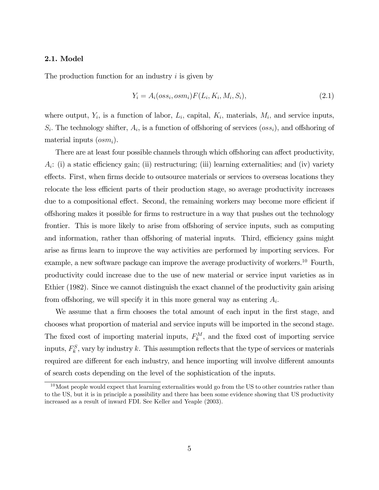#### 2.1. Model

The production function for an industry  $i$  is given by

$$
Y_i = A_i(oss_i, osm_i)F(L_i, K_i, M_i, S_i),
$$
\n(2.1)

where output,  $Y_i$ , is a function of labor,  $L_i$ , capital,  $K_i$ , materials,  $M_i$ , and service inputs,  $S_i$ . The technology shifter,  $A_i$ , is a function of offshoring of services  $(oss_i)$ , and offshoring of material inputs  $(osm_i)$ .

There are at least four possible channels through which offshoring can affect productivity,  $A_i$ : (i) a static efficiency gain; (ii) restructuring; (iii) learning externalities; and (iv) variety effects. First, when firms decide to outsource materials or services to overseas locations they relocate the less efficient parts of their production stage, so average productivity increases due to a compositional effect. Second, the remaining workers may become more efficient if offshoring makes it possible for firms to restructure in a way that pushes out the technology frontier. This is more likely to arise from offshoring of service inputs, such as computing and information, rather than offshoring of material inputs. Third, efficiency gains might arise as firms learn to improve the way activities are performed by importing services. For example, a new software package can improve the average productivity of workers.<sup>10</sup> Fourth, productivity could increase due to the use of new material or service input varieties as in Ethier (1982). Since we cannot distinguish the exact channel of the productivity gain arising from offshoring, we will specify it in this more general way as entering  $A_i$ .

We assume that a firm chooses the total amount of each input in the first stage, and chooses what proportion of material and service inputs will be imported in the second stage. The fixed cost of importing material inputs,  $F_k^M$ , and the fixed cost of importing service inputs,  $F_k^S$ , vary by industry k. This assumption reflects that the type of services or materials required are different for each industry, and hence importing will involve different amounts of search costs depending on the level of the sophistication of the inputs.

 $10<sup>10</sup>$  Most people would expect that learning externalities would go from the US to other countries rather than to the US, but it is in principle a possibility and there has been some evidence showing that US productivity increased as a result of inward FDI. See Keller and Yeaple (2003).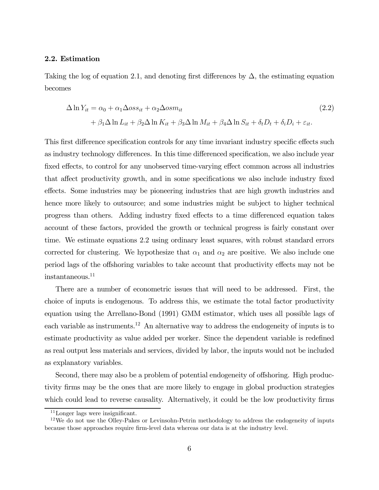#### 2.2. Estimation

Taking the log of equation 2.1, and denoting first differences by  $\Delta$ , the estimating equation becomes

$$
\Delta \ln Y_{it} = \alpha_0 + \alpha_1 \Delta \cos s_{it} + \alpha_2 \Delta \cos m_{it}
$$
  
+  $\beta_1 \Delta \ln L_{it} + \beta_2 \Delta \ln K_{it} + \beta_3 \Delta \ln M_{it} + \beta_4 \Delta \ln S_{it} + \delta_t D_t + \delta_i D_i + \varepsilon_{it}.$  (2.2)

This first difference specification controls for any time invariant industry specific effects such as industry technology differences. In this time differenced specification, we also include year fixed effects, to control for any unobserved time-varying effect common across all industries that affect productivity growth, and in some specifications we also include industry fixed effects. Some industries may be pioneering industries that are high growth industries and hence more likely to outsource; and some industries might be subject to higher technical progress than others. Adding industry fixed effects to a time differenced equation takes account of these factors, provided the growth or technical progress is fairly constant over time. We estimate equations 2.2 using ordinary least squares, with robust standard errors corrected for clustering. We hypothesize that  $\alpha_1$  and  $\alpha_2$  are positive. We also include one period lags of the offshoring variables to take account that productivity effects may not be instantaneous.11

There are a number of econometric issues that will need to be addressed. First, the choice of inputs is endogenous. To address this, we estimate the total factor productivity equation using the Arrellano-Bond (1991) GMM estimator, which uses all possible lags of each variable as instruments.<sup>12</sup> An alternative way to address the endogeneity of inputs is to estimate productivity as value added per worker. Since the dependent variable is redefined as real output less materials and services, divided by labor, the inputs would not be included as explanatory variables.

Second, there may also be a problem of potential endogeneity of offshoring. High productivity firms may be the ones that are more likely to engage in global production strategies which could lead to reverse causality. Alternatively, it could be the low productivity firms

 $11$ Longer lags were insignificant.

 $12$  We do not use the Olley-Pakes or Levinsohn-Petrin methodology to address the endogeneity of inputs because those approaches require firm-level data whereas our data is at the industry level.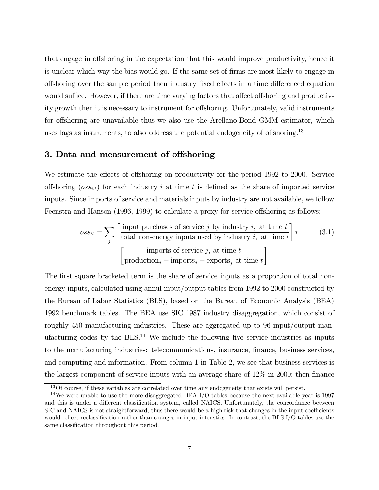that engage in offshoring in the expectation that this would improve productivity, hence it is unclear which way the bias would go. If the same set of firms are most likely to engage in offshoring over the sample period then industry fixed effects in a time differenced equation would suffice. However, if there are time varying factors that affect offshoring and productivity growth then it is necessary to instrument for offshoring. Unfortunately, valid instruments for offshoring are unavailable thus we also use the Arellano-Bond GMM estimator, which uses lags as instruments, to also address the potential endogeneity of offshoring.13

## 3. Data and measurement of offshoring

We estimate the effects of offshoring on productivity for the period 1992 to 2000. Service offshoring  $(oss_{it})$  for each industry i at time t is defined as the share of imported service inputs. Since imports of service and materials inputs by industry are not available, we follow Feenstra and Hanson (1996, 1999) to calculate a proxy for service offshoring as follows:

$$
oss_{it} = \sum_{j} \left[ \frac{\text{input purchases of service } j \text{ by industry } i, \text{ at time } t}{\text{total non-energy inputs used by industry } i, \text{ at time } t} \right] * \qquad (3.1)
$$

$$
\left[ \frac{\text{imports of service } j, \text{ at time } t}{\text{production}_j + \text{imports}_j - \text{exports}_j \text{ at time } t} \right].
$$

The first square bracketed term is the share of service inputs as a proportion of total nonenergy inputs, calculated using annul input/output tables from 1992 to 2000 constructed by the Bureau of Labor Statistics (BLS), based on the Bureau of Economic Analysis (BEA) 1992 benchmark tables. The BEA use SIC 1987 industry disaggregation, which consist of roughly 450 manufacturing industries. These are aggregated up to 96 input/output manufacturing codes by the  $BLS<sup>14</sup>$  We include the following five service industries as inputs to the manufacturing industries: telecommunications, insurance, finance, business services, and computing and information. From column 1 in Table 2, we see that business services is the largest component of service inputs with an average share of 12% in 2000; then finance

<sup>&</sup>lt;sup>13</sup>Of course, if these variables are correlated over time any endogeneity that exists will persist.

<sup>&</sup>lt;sup>14</sup>We were unable to use the more disaggregated BEA I/O tables because the next available year is 1997 and this is under a different classification system, called NAICS. Unfortunately, the concordance between SIC and NAICS is not straightforward, thus there would be a high risk that changes in the input coefficients would reflect reclassification rather than changes in input intensties. In contrast, the BLS I/O tables use the same classification throughout this period.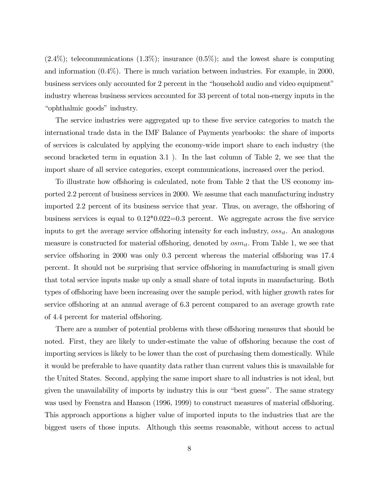$(2.4\%)$ ; telecommunications  $(1.3\%)$ ; insurance  $(0.5\%)$ ; and the lowest share is computing and information (0.4%). There is much variation between industries. For example, in 2000, business services only accounted for 2 percent in the "household audio and video equipment" industry whereas business services accounted for 33 percent of total non-energy inputs in the "ophthalmic goods" industry.

The service industries were aggregated up to these five service categories to match the international trade data in the IMF Balance of Payments yearbooks: the share of imports of services is calculated by applying the economy-wide import share to each industry (the second bracketed term in equation 3.1 ). In the last column of Table 2, we see that the import share of all service categories, except communications, increased over the period.

To illustrate how offshoring is calculated, note from Table 2 that the US economy imported 2.2 percent of business services in 2000. We assume that each manufacturing industry imported 2.2 percent of its business service that year. Thus, on average, the offshoring of business services is equal to  $0.12*0.022=0.3$  percent. We aggregate across the five service inputs to get the average service offshoring intensity for each industry,  $\cos s_{it}$ . An analogous measure is constructed for material offshoring, denoted by  $osm_{it}$ . From Table 1, we see that service offshoring in 2000 was only 0.3 percent whereas the material offshoring was 17.4 percent. It should not be surprising that service offshoring in manufacturing is small given that total service inputs make up only a small share of total inputs in manufacturing. Both types of offshoring have been increasing over the sample period, with higher growth rates for service offshoring at an annual average of 6.3 percent compared to an average growth rate of 4.4 percent for material offshoring.

There are a number of potential problems with these offshoring measures that should be noted. First, they are likely to under-estimate the value of offshoring because the cost of importing services is likely to be lower than the cost of purchasing them domestically. While it would be preferable to have quantity data rather than current values this is unavailable for the United States. Second, applying the same import share to all industries is not ideal, but given the unavailability of imports by industry this is our "best guess". The same strategy was used by Feenstra and Hanson (1996, 1999) to construct measures of material offshoring. This approach apportions a higher value of imported inputs to the industries that are the biggest users of those inputs. Although this seems reasonable, without access to actual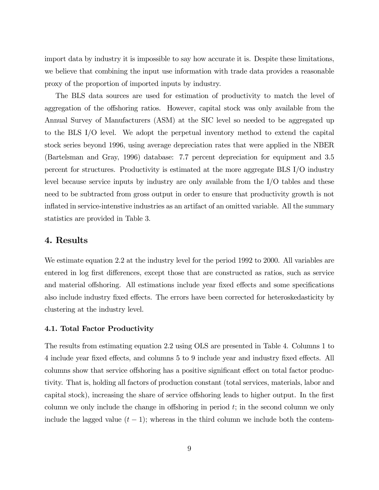import data by industry it is impossible to say how accurate it is. Despite these limitations, we believe that combining the input use information with trade data provides a reasonable proxy of the proportion of imported inputs by industry.

The BLS data sources are used for estimation of productivity to match the level of aggregation of the offshoring ratios. However, capital stock was only available from the Annual Survey of Manufacturers (ASM) at the SIC level so needed to be aggregated up to the BLS I/O level. We adopt the perpetual inventory method to extend the capital stock series beyond 1996, using average depreciation rates that were applied in the NBER (Bartelsman and Gray, 1996) database: 7.7 percent depreciation for equipment and 3.5 percent for structures. Productivity is estimated at the more aggregate BLS I/O industry level because service inputs by industry are only available from the I/O tables and these need to be subtracted from gross output in order to ensure that productivity growth is not inflated in service-intenstive industries as an artifact of an omitted variable. All the summary statistics are provided in Table 3.

### 4. Results

We estimate equation 2.2 at the industry level for the period 1992 to 2000. All variables are entered in log first differences, except those that are constructed as ratios, such as service and material offshoring. All estimations include year fixed effects and some specifications also include industry fixed effects. The errors have been corrected for heteroskedasticity by clustering at the industry level.

#### 4.1. Total Factor Productivity

The results from estimating equation 2.2 using OLS are presented in Table 4. Columns 1 to 4 include year fixed effects, and columns 5 to 9 include year and industry fixed effects. All columns show that service offshoring has a positive significant effect on total factor productivity. That is, holding all factors of production constant (total services, materials, labor and capital stock), increasing the share of service offshoring leads to higher output. In the first column we only include the change in offshoring in period  $t$ ; in the second column we only include the lagged value  $(t - 1)$ ; whereas in the third column we include both the contem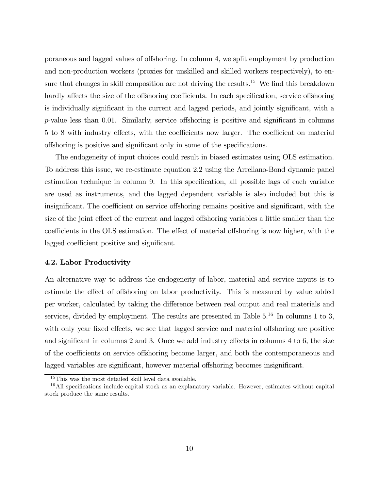poraneous and lagged values of offshoring. In column 4, we split employment by production and non-production workers (proxies for unskilled and skilled workers respectively), to ensure that changes in skill composition are not driving the results.<sup>15</sup> We find this breakdown hardly affects the size of the offshoring coefficients. In each specification, service offshoring is individually significant in the current and lagged periods, and jointly significant, with a p-value less than 0.01. Similarly, service offshoring is positive and significant in columns 5 to 8 with industry effects, with the coefficients now larger. The coefficient on material offshoring is positive and significant only in some of the specifications.

The endogeneity of input choices could result in biased estimates using OLS estimation. To address this issue, we re-estimate equation 2.2 using the Arrellano-Bond dynamic panel estimation technique in column 9. In this specification, all possible lags of each variable are used as instruments, and the lagged dependent variable is also included but this is insignificant. The coefficient on service offshoring remains positive and significant, with the size of the joint effect of the current and lagged offshoring variables a little smaller than the coefficients in the OLS estimation. The effect of material offshoring is now higher, with the lagged coefficient positive and significant.

#### 4.2. Labor Productivity

An alternative way to address the endogeneity of labor, material and service inputs is to estimate the effect of offshoring on labor productivity. This is measured by value added per worker, calculated by taking the difference between real output and real materials and services, divided by employment. The results are presented in Table  $5^{16}$  In columns 1 to 3, with only year fixed effects, we see that lagged service and material offshoring are positive and significant in columns 2 and 3. Once we add industry effects in columns 4 to 6, the size of the coefficients on service offshoring become larger, and both the contemporaneous and lagged variables are significant, however material offshoring becomes insignificant.

 $15$ This was the most detailed skill level data available.

<sup>&</sup>lt;sup>16</sup>All specifications include capital stock as an explanatory variable. However, estimates without capital stock produce the same results.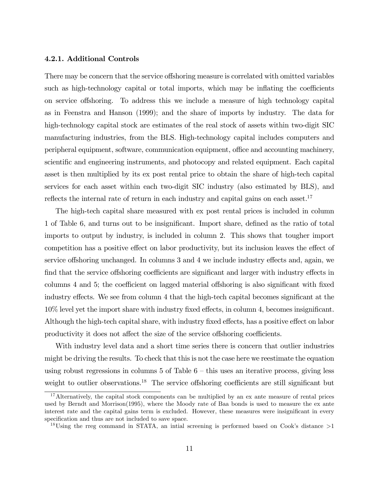#### 4.2.1. Additional Controls

There may be concern that the service offshoring measure is correlated with omitted variables such as high-technology capital or total imports, which may be inflating the coefficients on service offshoring. To address this we include a measure of high technology capital as in Feenstra and Hanson (1999); and the share of imports by industry. The data for high-technology capital stock are estimates of the real stock of assets within two-digit SIC manufacturing industries, from the BLS. High-technology capital includes computers and peripheral equipment, software, communication equipment, office and accounting machinery, scientific and engineering instruments, and photocopy and related equipment. Each capital asset is then multiplied by its ex post rental price to obtain the share of high-tech capital services for each asset within each two-digit SIC industry (also estimated by BLS), and reflects the internal rate of return in each industry and capital gains on each asset.<sup>17</sup>

The high-tech capital share measured with ex post rental prices is included in column 1 of Table 6, and turns out to be insignificant. Import share, defined as the ratio of total imports to output by industry, is included in column 2. This shows that tougher import competition has a positive effect on labor productivity, but its inclusion leaves the effect of service offshoring unchanged. In columns 3 and 4 we include industry effects and, again, we find that the service offshoring coefficients are significant and larger with industry effects in columns 4 and 5; the coefficient on lagged material offshoring is also significant with fixed industry effects. We see from column 4 that the high-tech capital becomes significant at the 10% level yet the import share with industry fixed effects, in column 4, becomes insignificant. Although the high-tech capital share, with industry fixed effects, has a positive effect on labor productivity it does not affect the size of the service offshoring coefficients.

With industry level data and a short time series there is concern that outlier industries might be driving the results. To check that this is not the case here we reestimate the equation using robust regressions in columns  $5$  of Table  $6$  – this uses an iterative process, giving less weight to outlier observations.<sup>18</sup> The service offshoring coefficients are still significant but

<sup>&</sup>lt;sup>17</sup>Alternatively, the capital stock components can be multiplied by an ex ante measure of rental prices used by Berndt and Morrison(1995), where the Moody rate of Baa bonds is used to measure the ex ante interest rate and the capital gains term is excluded. However, these measures were insignificant in every specification and thus are not included to save space.

<sup>&</sup>lt;sup>18</sup>Using the rreg command in STATA, an initial screening is performed based on Cook's distance  $>1$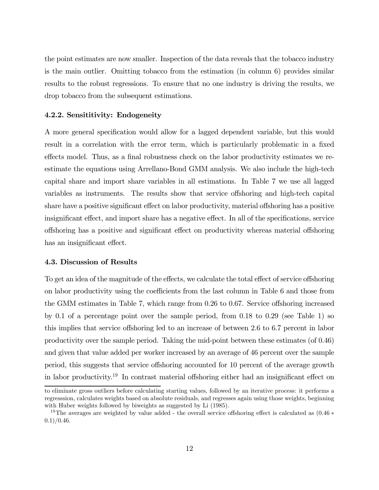the point estimates are now smaller. Inspection of the data reveals that the tobacco industry is the main outlier. Omitting tobacco from the estimation (in column 6) provides similar results to the robust regressions. To ensure that no one industry is driving the results, we drop tobacco from the subsequent estimations.

#### 4.2.2. Sensititivity: Endogeneity

A more general specification would allow for a lagged dependent variable, but this would result in a correlation with the error term, which is particularly problematic in a fixed effects model. Thus, as a final robustness check on the labor productivity estimates we reestimate the equations using Arrellano-Bond GMM analysis. We also include the high-tech capital share and import share variables in all estimations. In Table 7 we use all lagged variables as instruments. The results show that service offshoring and high-tech capital share have a positive significant effect on labor productivity, material offshoring has a positive insignificant effect, and import share has a negative effect. In all of the specifications, service offshoring has a positive and significant effect on productivity whereas material offshoring has an insignificant effect.

#### 4.3. Discussion of Results

To get an idea of the magnitude of the effects, we calculate the total effect of service offshoring on labor productivity using the coefficients from the last column in Table 6 and those from the GMM estimates in Table 7, which range from 0.26 to 0.67. Service offshoring increased by 0.1 of a percentage point over the sample period, from 0.18 to 0.29 (see Table 1) so this implies that service offshoring led to an increase of between 2.6 to 6.7 percent in labor productivity over the sample period. Taking the mid-point between these estimates (of 0.46) and given that value added per worker increased by an average of 46 percent over the sample period, this suggests that service offshoring accounted for 10 percent of the average growth in labor productivity.19 In contrast material offshoring either had an insignificant effect on

to eliminate gross outliers before calculating starting values, followed by an iterative process: it performs a regresssion, calculates weights based on absolute residuals, and regresses again using those weights, beginning with Huber weights followed by biweights as suggested by Li  $(1985)$ .

<sup>&</sup>lt;sup>19</sup>The averages are weighted by value added - the overall service offshoring effect is calculated as  $(0.46 *$  $(0.1)/0.46$ .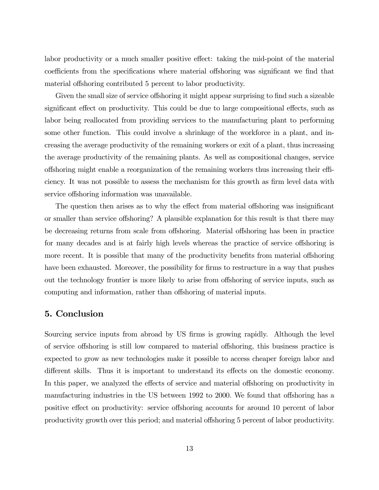labor productivity or a much smaller positive effect: taking the mid-point of the material coefficients from the specifications where material offshoring was significant we find that material offshoring contributed 5 percent to labor productivity.

Given the small size of service offshoring it might appear surprising to find such a sizeable significant effect on productivity. This could be due to large compositional effects, such as labor being reallocated from providing services to the manufacturing plant to performing some other function. This could involve a shrinkage of the workforce in a plant, and increasing the average productivity of the remaining workers or exit of a plant, thus increasing the average productivity of the remaining plants. As well as compositional changes, service offshoring might enable a reorganization of the remaining workers thus increasing their efficiency. It was not possible to assess the mechanism for this growth as firm level data with service offshoring information was unavailable.

The question then arises as to why the effect from material offshoring was insignificant or smaller than service offshoring? A plausible explanation for this result is that there may be decreasing returns from scale from offshoring. Material offshoring has been in practice for many decades and is at fairly high levels whereas the practice of service offshoring is more recent. It is possible that many of the productivity benefits from material offshoring have been exhausted. Moreover, the possibility for firms to restructure in a way that pushes out the technology frontier is more likely to arise from offshoring of service inputs, such as computing and information, rather than offshoring of material inputs.

## 5. Conclusion

Sourcing service inputs from abroad by US firms is growing rapidly. Although the level of service offshoring is still low compared to material offshoring, this business practice is expected to grow as new technologies make it possible to access cheaper foreign labor and different skills. Thus it is important to understand its effects on the domestic economy. In this paper, we analyzed the effects of service and material offshoring on productivity in manufacturing industries in the US between 1992 to 2000. We found that offshoring has a positive effect on productivity: service offshoring accounts for around 10 percent of labor productivity growth over this period; and material offshoring 5 percent of labor productivity.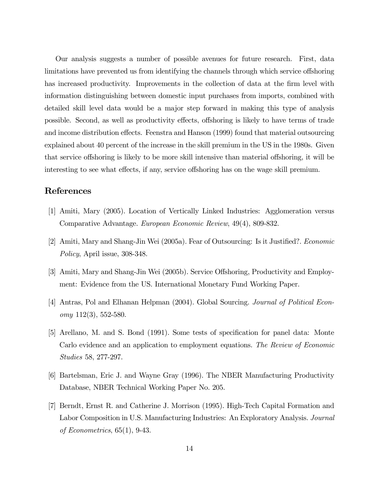Our analysis suggests a number of possible avenues for future research. First, data limitations have prevented us from identifying the channels through which service offshoring has increased productivity. Improvements in the collection of data at the firm level with information distinguishing between domestic input purchases from imports, combined with detailed skill level data would be a major step forward in making this type of analysis possible. Second, as well as productivity effects, offshoring is likely to have terms of trade and income distribution effects. Feenstra and Hanson (1999) found that material outsourcing explained about 40 percent of the increase in the skill premium in the US in the 1980s. Given that service offshoring is likely to be more skill intensive than material offshoring, it will be interesting to see what effects, if any, service offshoring has on the wage skill premium.

# References

- [1] Amiti, Mary (2005). Location of Vertically Linked Industries: Agglomeration versus Comparative Advantage. European Economic Review, 49(4), 809-832.
- [2] Amiti, Mary and Shang-Jin Wei (2005a). Fear of Outsourcing: Is it Justified?. Economic Policy, April issue, 308-348.
- [3] Amiti, Mary and Shang-Jin Wei (2005b). Service Offshoring, Productivity and Employment: Evidence from the US. International Monetary Fund Working Paper.
- [4] Antras, Pol and Elhanan Helpman (2004). Global Sourcing. Journal of Political Econ $omy 112(3), 552-580.$
- [5] Arellano, M. and S. Bond (1991). Some tests of specification for panel data: Monte Carlo evidence and an application to employment equations. The Review of Economic Studies 58, 277-297.
- [6] Bartelsman, Eric J. and Wayne Gray (1996). The NBER Manufacturing Productivity Database, NBER Technical Working Paper No. 205.
- [7] Berndt, Ernst R. and Catherine J. Morrison (1995). High-Tech Capital Formation and Labor Composition in U.S. Manufacturing Industries: An Exploratory Analysis. Journal of Econometrics, 65(1), 9-43.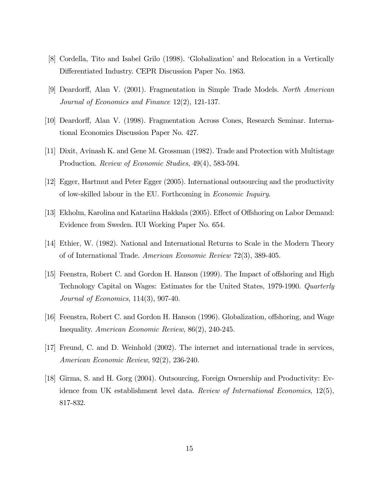- [8] Cordella, Tito and Isabel Grilo (1998). 'Globalization' and Relocation in a Vertically Differentiated Industry. CEPR Discussion Paper No. 1863.
- [9] Deardorff, Alan V. (2001). Fragmentation in Simple Trade Models. North American Journal of Economics and Finance 12(2), 121-137.
- [10] Deardorff, Alan V. (1998). Fragmentation Across Cones, Research Seminar. International Economics Discussion Paper No. 427.
- [11] Dixit, Avinash K. and Gene M. Grossman (1982). Trade and Protection with Multistage Production. Review of Economic Studies, 49(4), 583-594.
- [12] Egger, Hartmut and Peter Egger (2005). International outsourcing and the productivity of low-skilled labour in the EU. Forthcoming in Economic Inquiry.
- [13] Ekholm, Karolina and Katariina Hakkala (2005). Effect of Offshoring on Labor Demand: Evidence from Sweden. IUI Working Paper No. 654.
- [14] Ethier, W. (1982). National and International Returns to Scale in the Modern Theory of of International Trade. American Economic Review 72(3), 389-405.
- [15] Feenstra, Robert C. and Gordon H. Hanson (1999). The Impact of offshoring and High Technology Capital on Wages: Estimates for the United States, 1979-1990. Quarterly Journal of Economics, 114(3), 907-40.
- [16] Feenstra, Robert C. and Gordon H. Hanson (1996). Globalization, offshoring, and Wage Inequality. American Economic Review, 86(2), 240-245.
- [17] Freund, C. and D. Weinhold (2002). The internet and international trade in services, American Economic Review, 92(2), 236-240.
- [18] Girma, S. and H. Gorg (2004). Outsourcing, Foreign Ownership and Productivity: Evidence from UK establishment level data. Review of International Economics, 12(5), 817-832.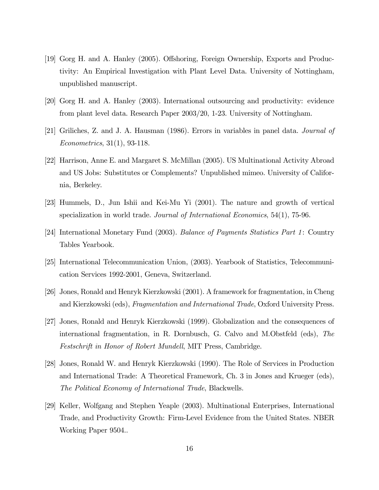- [19] Gorg H. and A. Hanley (2005). Offshoring, Foreign Ownership, Exports and Productivity: An Empirical Investigation with Plant Level Data. University of Nottingham, unpublished manuscript.
- [20] Gorg H. and A. Hanley (2003). International outsourcing and productivity: evidence from plant level data. Research Paper 2003/20, 1-23. University of Nottingham.
- [21] Griliches, Z. and J. A. Hausman (1986). Errors in variables in panel data. Journal of Econometrics, 31(1), 93-118.
- [22] Harrison, Anne E. and Margaret S. McMillan (2005). US Multinational Activity Abroad and US Jobs: Substitutes or Complements? Unpublished mimeo. University of California, Berkeley.
- [23] Hummels, D., Jun Ishii and Kei-Mu Yi (2001). The nature and growth of vertical specialization in world trade. *Journal of International Economics*, 54(1), 75-96.
- [24] International Monetary Fund (2003). Balance of Payments Statistics Part 1: Country Tables Yearbook.
- [25] International Telecommunication Union, (2003). Yearbook of Statistics, Telecommunication Services 1992-2001, Geneva, Switzerland.
- [26] Jones, Ronald and Henryk Kierzkowski (2001). A framework for fragmentation, in Cheng and Kierzkowski (eds), Fragmentation and International Trade, Oxford University Press.
- [27] Jones, Ronald and Henryk Kierzkowski (1999). Globalization and the consequences of international fragmentation, in R. Dornbusch, G. Calvo and M.Obstfeld (eds), The Festschrift in Honor of Robert Mundell, MIT Press, Cambridge.
- [28] Jones, Ronald W. and Henryk Kierzkowski (1990). The Role of Services in Production and International Trade: A Theoretical Framework, Ch. 3 in Jones and Krueger (eds), The Political Economy of International Trade, Blackwells.
- [29] Keller, Wolfgang and Stephen Yeaple (2003). Multinational Enterprises, International Trade, and Productivity Growth: Firm-Level Evidence from the United States. NBER Working Paper 9504..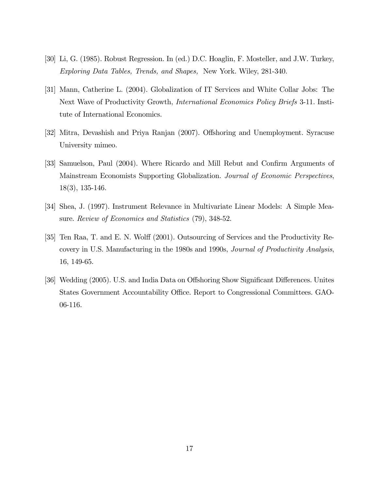- [30] Li, G. (1985). Robust Regression. In (ed.) D.C. Hoaglin, F. Mosteller, and J.W. Turkey, Exploring Data Tables, Trends, and Shapes, New York. Wiley, 281-340.
- [31] Mann, Catherine L. (2004). Globalization of IT Services and White Collar Jobs: The Next Wave of Productivity Growth, International Economics Policy Briefs 3-11. Institute of International Economics.
- [32] Mitra, Devashish and Priya Ranjan (2007). Offshoring and Unemployment. Syracuse University mimeo.
- [33] Samuelson, Paul (2004). Where Ricardo and Mill Rebut and Confirm Arguments of Mainstream Economists Supporting Globalization. Journal of Economic Perspectives, 18(3), 135-146.
- [34] Shea, J. (1997). Instrument Relevance in Multivariate Linear Models: A Simple Measure. Review of Economics and Statistics (79), 348-52.
- [35] Ten Raa, T. and E. N. Wolff (2001). Outsourcing of Services and the Productivity Recovery in U.S. Manufacturing in the 1980s and 1990s, Journal of Productivity Analysis, 16, 149-65.
- [36] Wedding (2005). U.S. and India Data on Offshoring Show Significant Differences. Unites States Government Accountability Office. Report to Congressional Committees. GAO-06-116.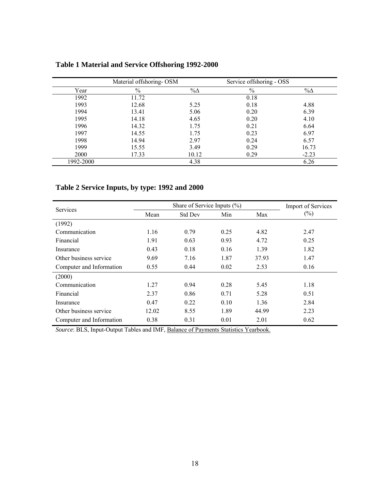|           | Material offshoring-OSM |             | Service offshoring - OSS |             |
|-----------|-------------------------|-------------|--------------------------|-------------|
| Year      | $\frac{0}{0}$           | $\% \Delta$ | $\frac{0}{0}$            | $\% \Delta$ |
| 1992      | 11.72                   |             | 0.18                     |             |
| 1993      | 12.68                   | 5.25        | 0.18                     | 4.88        |
| 1994      | 13.41                   | 5.06        | 0.20                     | 6.39        |
| 1995      | 14.18                   | 4.65        | 0.20                     | 4.10        |
| 1996      | 14.32                   | 1.75        | 0.21                     | 6.64        |
| 1997      | 14.55                   | 1.75        | 0.23                     | 6.97        |
| 1998      | 14.94                   | 2.97        | 0.24                     | 6.57        |
| 1999      | 15.55                   | 3.49        | 0.29                     | 16.73       |
| 2000      | 17.33                   | 10.12       | 0.29                     | $-2.23$     |
| 1992-2000 |                         | 4.38        |                          | 6.26        |

# **Table 1 Material and Service Offshoring 1992-2000**

# **Table 2 Service Inputs, by type: 1992 and 2000**

| <b>Services</b>          |       | <b>Import of Services</b> |      |       |        |  |
|--------------------------|-------|---------------------------|------|-------|--------|--|
|                          | Mean  | <b>Std Dev</b>            | Min  | Max   | $(\%)$ |  |
| (1992)                   |       |                           |      |       |        |  |
| Communication            | 1.16  | 0.79                      | 0.25 | 4.82  | 2.47   |  |
| Financial                | 1.91  | 0.63                      | 0.93 | 4.72  | 0.25   |  |
| Insurance                | 0.43  | 0.18                      | 0.16 | 1.39  | 1.82   |  |
| Other business service   | 9.69  | 7.16                      | 1.87 | 37.93 | 1.47   |  |
| Computer and Information | 0.55  | 0.44                      | 0.02 | 2.53  | 0.16   |  |
| (2000)                   |       |                           |      |       |        |  |
| Communication            | 1.27  | 0.94                      | 0.28 | 5.45  | 1.18   |  |
| Financial                | 2.37  | 0.86                      | 0.71 | 5.28  | 0.51   |  |
| Insurance                | 0.47  | 0.22                      | 0.10 | 1.36  | 2.84   |  |
| Other business service   | 12.02 | 8.55                      | 1.89 | 44.99 | 2.23   |  |
| Computer and Information | 0.38  | 0.31                      | 0.01 | 2.01  | 0.62   |  |

*Source*: BLS, Input-Output Tables and IMF, Balance of Payments Statistics Yearbook.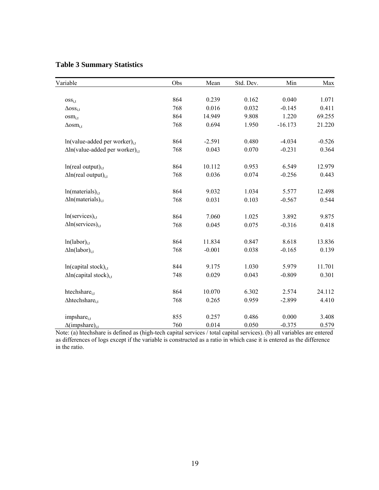# **Table 3 Summary Statistics**

| Variable                                           | Obs | Mean     | Std. Dev. | Min       | Max      |
|----------------------------------------------------|-----|----------|-----------|-----------|----------|
|                                                    |     |          |           |           |          |
| OSS <sub>i,t</sub>                                 | 864 | 0.239    | 0.162     | 0.040     | 1.071    |
| $\Delta$ OSS <sub>i,t</sub>                        | 768 | 0.016    | 0.032     | $-0.145$  | 0.411    |
| $osm_{i,t}$                                        | 864 | 14.949   | 9.808     | 1.220     | 69.255   |
| $\Delta$ osm <sub>i,t</sub>                        | 768 | 0.694    | 1.950     | $-16.173$ | 21.220   |
| $ln(value-added per worker)_{i.t.}$                | 864 | $-2.591$ | 0.480     | $-4.034$  | $-0.526$ |
| $\Delta$ ln(value-added per worker) <sub>i.t</sub> | 768 | 0.043    | 0.070     | $-0.231$  | 0.364    |
| $ln(real output)_{i,t}$                            | 864 | 10.112   | 0.953     | 6.549     | 12.979   |
| $\Delta$ ln(real output) <sub>it</sub>             | 768 | 0.036    | 0.074     | $-0.256$  | 0.443    |
| $ln(materials)_{i,t}$                              | 864 | 9.032    | 1.034     | 5.577     | 12.498   |
| $\Delta$ ln(materials) <sub>i.t</sub>              | 768 | 0.031    | 0.103     | $-0.567$  | 0.544    |
| $ln(s$ ervices $)_{i,t}$                           | 864 | 7.060    | 1.025     | 3.892     | 9.875    |
| $\Delta$ ln(services) <sub>i,t</sub>               | 768 | 0.045    | 0.075     | $-0.316$  | 0.418    |
| $ln(labor)_{i,t}$                                  | 864 | 11.834   | 0.847     | 8.618     | 13.836   |
| $\Delta$ ln(labor) <sub>i.t</sub>                  | 768 | $-0.001$ | 0.038     | $-0.165$  | 0.139    |
| $ln(capital stock)_{i,t}$                          | 844 | 9.175    | 1.030     | 5.979     | 11.701   |
| $\Delta$ ln(capital stock) <sub>it</sub>           | 748 | 0.029    | 0.043     | $-0.809$  | 0.301    |
| htechshare <sub>i.t</sub>                          | 864 | 10.070   | 6.302     | 2.574     | 24.112   |
| $\Delta$ htechshare <sub>i.t</sub>                 | 768 | 0.265    | 0.959     | $-2.899$  | 4.410    |
| impshare <sub>i,t</sub>                            | 855 | 0.257    | 0.486     | 0.000     | 3.408    |
| $\Delta$ (impshare) <sub>i.t</sub>                 | 760 | 0.014    | 0.050     | $-0.375$  | 0.579    |

Note: (a) htechshare is defined as (high-tech capital services / total capital services). (b) all variables are entered as differences of logs except if the variable is constructed as a ratio in which case it is entered as the difference in the ratio.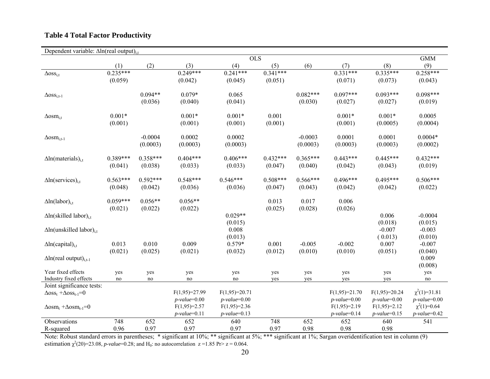# **Table 4 Total Factor Productivity**

| Dependent variable: $\Delta$ ln(real output) <sub>it</sub> |            |            |                 |                  |            |            |                 |                    |                   |
|------------------------------------------------------------|------------|------------|-----------------|------------------|------------|------------|-----------------|--------------------|-------------------|
|                                                            |            |            |                 | $\overline{OLS}$ |            |            |                 |                    | <b>GMM</b>        |
|                                                            | (1)        | (2)        | (3)             | (4)              | (5)        | (6)        | (7)             | (8)                | (9)               |
| $\Delta$ OSS <sub>i,t</sub>                                | $0.235***$ |            | $0.249***$      | $0.241***$       | $0.341***$ |            | $0.331***$      | $0.335***$         | $0.258***$        |
|                                                            | (0.059)    |            | (0.042)         | (0.045)          | (0.051)    |            | (0.071)         | (0.073)            | (0.043)           |
|                                                            |            |            |                 |                  |            |            |                 |                    |                   |
| $\Delta$ OSS <sub>i,t-1</sub>                              |            | $0.094**$  | $0.079*$        | 0.065            |            | $0.082***$ | $0.097***$      | $0.093***$         | $0.098***$        |
|                                                            |            | (0.036)    | (0.040)         | (0.041)          |            | (0.030)    | (0.027)         | (0.027)            | (0.019)           |
|                                                            |            |            |                 |                  |            |            |                 |                    |                   |
| $\Delta$ osm <sub>i,t</sub>                                | $0.001*$   |            | $0.001*$        | $0.001*$         | 0.001      |            | $0.001*$        | $0.001*$           | 0.0005            |
|                                                            | (0.001)    |            | (0.001)         | (0.001)          | (0.001)    |            | (0.001)         | (0.0005)           | (0.0004)          |
|                                                            |            |            |                 |                  |            |            |                 |                    |                   |
| $\Delta$ osm <sub>i,t-1</sub>                              |            | $-0.0004$  | 0.0002          | 0.0002           |            | $-0.0003$  | 0.0001          | 0.0001             | $0.0004*$         |
|                                                            |            | (0.0003)   | (0.0003)        | (0.0003)         |            | (0.0003)   | (0.0003)        | (0.0003)           | (0.0002)          |
|                                                            |            |            |                 |                  |            |            |                 |                    |                   |
| $\Delta$ ln(materials) <sub>i.t</sub>                      | $0.389***$ | $0.358***$ | $0.404***$      | $0.406***$       | $0.432***$ | $0.365***$ | $0.443***$      | $0.445***$         | $0.432***$        |
|                                                            | (0.041)    | (0.038)    | (0.033)         | (0.033)          | (0.047)    | (0.040)    | (0.042)         | (0.043)            | (0.019)           |
|                                                            |            |            |                 |                  |            |            |                 |                    |                   |
| $\Delta$ ln(services) <sub>i,t</sub>                       | $0.563***$ | $0.592***$ | $0.548***$      | $0.546***$       | $0.508***$ | $0.566***$ | $0.496***$      | $0.495***$         | $0.506***$        |
|                                                            | (0.048)    | (0.042)    | (0.036)         | (0.036)          | (0.047)    | (0.043)    | (0.042)         | (0.042)            | (0.022)           |
|                                                            |            |            |                 |                  |            |            |                 |                    |                   |
| $\Delta$ ln(labor) <sub>i.t</sub>                          | $0.059***$ | $0.056**$  | $0.056**$       |                  | 0.013      | 0.017      | 0.006           |                    |                   |
|                                                            | (0.021)    | (0.022)    | (0.022)         |                  | (0.025)    | (0.028)    | (0.026)         |                    |                   |
| $\Delta$ ln(skilled labor) <sub>i.t</sub>                  |            |            |                 | $0.029**$        |            |            |                 | 0.006              | $-0.0004$         |
|                                                            |            |            |                 | (0.015)          |            |            |                 | (0.018)            | (0.015)           |
| $\Delta$ ln(unskilled labor) <sub>i,t</sub>                |            |            |                 | 0.008            |            |            |                 | $-0.007$           | $-0.003$          |
|                                                            |            |            |                 | (0.013)          |            |            |                 | (0.013)            | (0.010)           |
| $\Delta$ ln(capital) <sub>i,t</sub>                        | 0.013      | 0.010      | 0.009           | $0.579*$         | 0.001      | $-0.005$   | $-0.002$        | 0.007              | $-0.007$          |
|                                                            | (0.021)    | (0.025)    | (0.021)         | (0.032)          | (0.012)    | (0.010)    | (0.010)         | (0.051)            | (0.040)           |
| $\Delta$ ln(real output) <sub>i.t-1</sub>                  |            |            |                 |                  |            |            |                 |                    | 0.009             |
|                                                            |            |            |                 |                  |            |            |                 |                    | (0.008)           |
| Year fixed effects                                         | yes        | yes        | yes             | yes              | yes        | yes        | yes             | yes                | yes               |
| Industry fixed effects                                     | no         | no         | no              | no               | yes        | yes        | yes             | yes                | no                |
| Joint significance tests:                                  |            |            |                 |                  |            |            |                 |                    |                   |
| $\Delta$ oss <sub>t</sub> + $\Delta$ oss <sub>t-1</sub> =0 |            |            | $F(1,95)=27.99$ | $F(1,95)=20.71$  |            |            | $F(1,95)=21.70$ | $F(1,95)=20.24$    | $\chi^2(1)=31.81$ |
|                                                            |            |            | $p-value=0.00$  | $p-value=0.00$   |            |            | $p-value=0.00$  | $p$ -value= $0.00$ | $p-value=0.00$    |
| $\Delta$ osm <sub>t</sub> + $\Delta$ osm <sub>t-1</sub> =0 |            |            | $F(1,95)=2.57$  | $F(1,95)=2.36$   |            |            | $F(1,95)=2.19$  | $F(1,95)=2.12$     | $\chi^2(1)=0.64$  |
|                                                            |            |            | $p$ -value=0.11 | $p$ -value=0.13  |            |            | $p$ -value=0.14 | $p-value=0.15$     | $p-value=0.42$    |
| Observations                                               | 748        | 652        | 652             | 640              | 748        | 652        | 652             | 640                | 541               |
| R-squared                                                  | 0.96       | 0.97       | 0.97            | 0.97             | 0.97       | 0.98       | 0.98            | 0.98               |                   |

Note: Robust standard errors in parentheses; \* significant at 10%; \*\* significant at 5%; \*\*\* significant at 1%; Sargan overidentification test in column (9) estimation  $\chi^2(20)=23.08$ , *p-value*=0.28; and H<sub>0</sub>: no autocorrelation  $z = 1.85$  Pr>  $z = 0.064$ .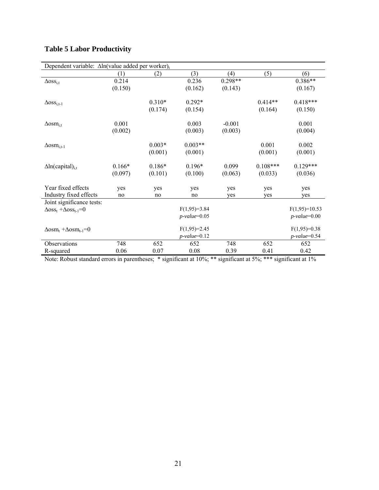|  |  | <b>Table 5 Labor Productivity</b> |  |  |
|--|--|-----------------------------------|--|--|
|--|--|-----------------------------------|--|--|

| Dependent variable: $\Delta \ln$ (value added per worker) <sub>t</sub> |          |          |                 |           |            |                 |
|------------------------------------------------------------------------|----------|----------|-----------------|-----------|------------|-----------------|
|                                                                        | (1)      | (2)      | (3)             | (4)       | (5)        | (6)             |
| $\Delta$ OSS <sub>i,t</sub>                                            | 0.214    |          | 0.236           | $0.298**$ |            | $0.386**$       |
|                                                                        | (0.150)  |          | (0.162)         | (0.143)   |            | (0.167)         |
| $\Delta$ OSS <sub>i,t-1</sub>                                          |          | $0.310*$ | $0.292*$        |           | $0.414**$  | $0.418***$      |
|                                                                        |          | (0.174)  | (0.154)         |           | (0.164)    | (0.150)         |
| $\Delta$ osm <sub>i.t</sub>                                            | 0.001    |          | 0.003           | $-0.001$  |            | 0.001           |
|                                                                        | (0.002)  |          | (0.003)         | (0.003)   |            | (0.004)         |
| $\Delta$ osm <sub>i,t-1</sub>                                          |          | $0.003*$ | $0.003**$       |           | 0.001      | 0.002           |
|                                                                        |          | (0.001)  | (0.001)         |           | (0.001)    | (0.001)         |
| $\Delta$ ln(capital) <sub>i.t</sub>                                    | $0.166*$ | $0.186*$ | $0.196*$        | 0.099     | $0.108***$ | $0.129***$      |
|                                                                        | (0.097)  | (0.101)  | (0.100)         | (0.063)   | (0.033)    | (0.036)         |
| Year fixed effects                                                     | yes      | yes      | yes             | yes       | yes        | yes             |
| Industry fixed effects                                                 | no       | no       | no              | yes       | yes        | yes             |
| Joint significance tests:                                              |          |          |                 |           |            |                 |
| $\Delta$ oss <sub>t</sub> + $\Delta$ oss <sub>t-1</sub> =0             |          |          | $F(1,95)=3.84$  |           |            | $F(1,95)=10.53$ |
|                                                                        |          |          | $p-value=0.05$  |           |            | $p-value=0.00$  |
| $\Delta$ osm <sub>t</sub> + $\Delta$ osm <sub>t-1</sub> =0             |          |          | $F(1,95)=2.45$  |           |            | $F(1,95)=0.38$  |
|                                                                        |          |          | $p$ -value=0.12 |           |            | $p$ -value=0.54 |
| Observations                                                           | 748      | 652      | 652             | 748       | 652        | 652             |
| R-squared                                                              | 0.06     | 0.07     | 0.08            | 0.39      | 0.41       | 0.42            |

Note: Robust standard errors in parentheses; \* significant at 10%; \*\* significant at 5%; \*\*\* significant at 1%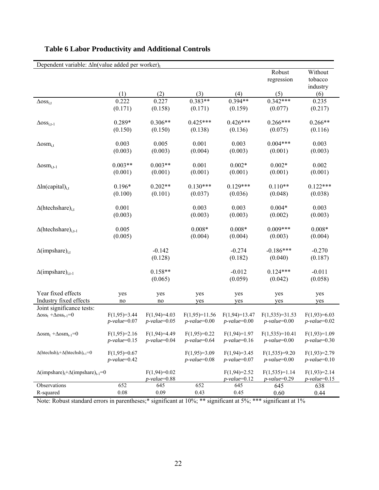| Dependent variable: $\Delta \ln$ (value added per worker) <sub>t</sub>   |                 |                 |                 |                 |                    |                 |
|--------------------------------------------------------------------------|-----------------|-----------------|-----------------|-----------------|--------------------|-----------------|
|                                                                          |                 |                 |                 |                 | Robust             | Without         |
|                                                                          |                 |                 |                 |                 | regression         | tobacco         |
|                                                                          |                 |                 |                 |                 |                    | industry        |
|                                                                          | (1)             | (2)             | (3)             | (4)             | (5)                | (6)             |
| $\Delta$ OSS <sub>i,t</sub>                                              | 0.222           | 0.227           | $0.383**$       | $0.394**$       | $0.342***$         | 0.235           |
|                                                                          | (0.171)         | (0.158)         | (0.171)         | (0.159)         | (0.077)            | (0.217)         |
|                                                                          |                 |                 |                 |                 |                    |                 |
| $\Delta$ OSS <sub>i,t-1</sub>                                            | 0.289*          | $0.306**$       | $0.425***$      | $0.426***$      | $0.266***$         | $0.266**$       |
|                                                                          | (0.150)         | (0.150)         | (0.138)         | (0.136)         | (0.075)            | (0.116)         |
|                                                                          |                 |                 |                 |                 |                    |                 |
| $\Delta$ osm <sub>i,t</sub>                                              | 0.003           | 0.005           | 0.001           | 0.003           | $0.004***$         | 0.003           |
|                                                                          | (0.003)         | (0.003)         | (0.004)         | (0.003)         | (0.001)            | (0.003)         |
|                                                                          |                 |                 |                 |                 |                    |                 |
| $\Delta$ osm <sub>i,t-1</sub>                                            | $0.003**$       | $0.003**$       | 0.001           | $0.002*$        | $0.002*$           | 0.002           |
|                                                                          | (0.001)         | (0.001)         | (0.001)         | (0.001)         | (0.001)            | (0.001)         |
|                                                                          |                 |                 |                 |                 |                    |                 |
| $\Delta$ ln(capital) <sub>i,t</sub>                                      | $0.196*$        | $0.202**$       | $0.130***$      | $0.129***$      | $0.110**$          | $0.122***$      |
|                                                                          | (0.100)         | (0.101)         | (0.037)         | (0.036)         | (0.048)            | (0.038)         |
|                                                                          |                 |                 |                 |                 |                    |                 |
| $\Delta$ (htechshare) <sub>i,t</sub>                                     | 0.001           |                 | 0.003           | 0.003           | $0.004*$           | 0.003           |
|                                                                          | (0.003)         |                 | (0.003)         | (0.003)         | (0.002)            | (0.003)         |
|                                                                          |                 |                 |                 |                 |                    |                 |
| $\Delta$ (htechshare) <sub>i,t-1</sub>                                   | 0.005           |                 | $0.008*$        | $0.008*$        | $0.009***$         | $0.008*$        |
|                                                                          | (0.005)         |                 | (0.004)         | (0.004)         | (0.003)            | (0.004)         |
|                                                                          |                 |                 |                 |                 |                    |                 |
| $\Delta$ (impshare) <sub>i,t</sub>                                       |                 | $-0.142$        |                 | $-0.274$        | $-0.186***$        | $-0.270$        |
|                                                                          |                 | (0.128)         |                 | (0.182)         | (0.040)            | (0.187)         |
|                                                                          |                 |                 |                 |                 |                    |                 |
| $\Delta$ (impshare) <sub>i.t-1</sub>                                     |                 | $0.158**$       |                 | $-0.012$        | $0.124***$         | $-0.011$        |
|                                                                          |                 | (0.065)         |                 | (0.059)         | (0.042)            | (0.058)         |
|                                                                          |                 |                 |                 |                 |                    |                 |
| Year fixed effects                                                       | yes             | yes             | yes             | yes             | yes                | yes             |
| Industry fixed effects                                                   | no              | no              | yes             | yes             | yes                | yes             |
| Joint significance tests:                                                |                 |                 |                 |                 |                    |                 |
| $\Delta$ oss <sub>t</sub> + $\Delta$ oss <sub>t-1</sub> =0               | $F(1,95)=3.44$  | $F(1,94)=4.03$  | $F(1,95)=11.56$ | $F(1,94)=13.47$ | $F(1,535)=31.53$   | $F(1,93)=6.03$  |
|                                                                          | $p$ -value=0.07 | $p-value=0.05$  | $p-value=0.00$  | $p-value=0.00$  | $p$ -value=0.00    | $p-value=0.02$  |
|                                                                          |                 |                 |                 |                 |                    |                 |
| $\Delta$ osm <sub>t</sub> + $\Delta$ osm <sub>t-1</sub> =0               | $F(1,95)=2.16$  | $F(1,94)=4.49$  | $F(1,95)=0.22$  | $F(1,94)=1.97$  | $F(1,535)=10.41$   | $F(1,93)=1.09$  |
|                                                                          | $p$ -value=0.15 | $p$ -value=0.04 | $p$ -value=0.64 | $p$ -value=0.16 | $p$ -value= $0.00$ | $p$ -value=0.30 |
| $\Delta$ (htechsh) <sub>t</sub> + $\Delta$ (htechsh) <sub>t-1</sub> =0   | $F(1,95)=0.67$  |                 | $F(1,95)=3.09$  | $F(1,94)=3.45$  | $F(1,535)=9.20$    | $F(1,93)=2.79$  |
|                                                                          | $p$ -value=0.42 |                 | $p-value=0.08$  | $p$ -value=0.07 | $p-value=0.00$     | $p$ -value=0.10 |
|                                                                          |                 |                 |                 |                 |                    |                 |
| $\Delta$ (impshare) <sub>t</sub> + $\Delta$ (impshare) <sub>t-1</sub> =0 |                 | $F(1,94)=0.02$  |                 | $F(1,94)=2.52$  | $F(1,535)=1.14$    | $F(1,93)=2.14$  |
|                                                                          |                 | $p$ -value=0.88 |                 | $p-value=0.12$  | $p$ -value=0.29    | $p-value=0.15$  |
| Observations                                                             | 652             | 645             | 652             | 645             | 645                | 638             |
| R-squared                                                                | 0.08            | 0.09            | 0.43            | 0.45            | 0.60               | 0.44            |

# **Table 6 Labor Productivity and Additional Controls**

Note: Robust standard errors in parentheses;\* significant at 10%; \*\* significant at 5%; \*\*\* significant at 1%